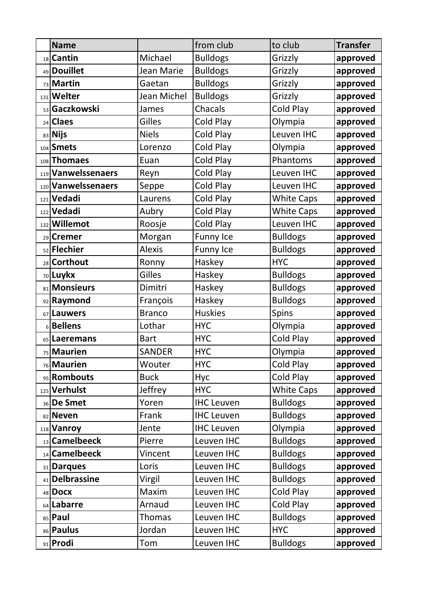|   | <b>Name</b>            |               | from club         | to club           | <b>Transfer</b> |
|---|------------------------|---------------|-------------------|-------------------|-----------------|
|   | 18 Cantin              | Michael       | <b>Bulldogs</b>   | Grizzly           | approved        |
|   | 49 Douillet            | Jean Marie    | <b>Bulldogs</b>   | Grizzly           | approved        |
|   | 73 Martin              | Gaetan        | <b>Bulldogs</b>   | Grizzly           | approved        |
|   | 131 Welter             | Jean Michel   | <b>Bulldogs</b>   | Grizzly           | approved        |
|   | 53 Gaczkowski          | James         | Chacals           | Cold Play         | approved        |
|   | $_{24}$ Claes          | Gilles        | Cold Play         | Olympia           | approved        |
|   | 83 Nijs                | <b>Niels</b>  | Cold Play         | Leuven IHC        | approved        |
|   | 104 Smets              | Lorenzo       | Cold Play         | Olympia           | approved        |
|   | 108 Thomaes            | Euan          | <b>Cold Play</b>  | Phantoms          | approved        |
|   | 119 Vanwelssenaers     | Reyn          | Cold Play         | Leuven IHC        | approved        |
|   | 120 Vanwelssenaers     | Seppe         | Cold Play         | Leuven IHC        | approved        |
|   | 121 Vedadi             | Laurens       | Cold Play         | <b>White Caps</b> | approved        |
|   | 122 Vedadi             | Aubry         | Cold Play         | <b>White Caps</b> | approved        |
|   | 132 Willemot           | Roosje        | Cold Play         | Leuven IHC        | approved        |
|   | 29 Cremer              | Morgan        | <b>Funny Ice</b>  | <b>Bulldogs</b>   | approved        |
|   | <sub>52</sub> Flechier | <b>Alexis</b> | <b>Funny Ice</b>  | <b>Bulldogs</b>   | approved        |
|   | 28 Corthout            | Ronny         | Haskey            | <b>HYC</b>        | approved        |
|   | 70 Luykx               | Gilles        | Haskey            | <b>Bulldogs</b>   | approved        |
|   | 81 Monsieurs           | Dimitri       | Haskey            | <b>Bulldogs</b>   | approved        |
|   | 92 Raymond             | François      | Haskey            | <b>Bulldogs</b>   | approved        |
|   | 67 Lauwers             | <b>Branco</b> | <b>Huskies</b>    | Spins             | approved        |
| 6 | <b>Bellens</b>         | Lothar        | <b>HYC</b>        | Olympia           | approved        |
|   | 65 Laeremans           | <b>Bart</b>   | <b>HYC</b>        | <b>Cold Play</b>  | approved        |
|   | 75 Maurien             | <b>SANDER</b> | <b>HYC</b>        | Olympia           | approved        |
|   | <sub>76</sub> Maurien  | Wouter        | <b>HYC</b>        | Cold Play         | approved        |
|   | 95 Rombouts            | <b>Buck</b>   | Hyc               | Cold Play         | approved        |
|   | 125 Verhulst           | Jeffrey       | <b>HYC</b>        | <b>White Caps</b> | approved        |
|   | 36 De Smet             | Yoren         | <b>IHC Leuven</b> | <b>Bulldogs</b>   | approved        |
|   | 82 Neven               | Frank         | <b>IHC Leuven</b> | <b>Bulldogs</b>   | approved        |
|   | 118 Vanroy             | Jente         | <b>IHC Leuven</b> | Olympia           | approved        |
|   | 13 Camelbeeck          | Pierre        | Leuven IHC        | <b>Bulldogs</b>   | approved        |
|   | 14 Camelbeeck          | Vincent       | Leuven IHC        | <b>Bulldogs</b>   | approved        |
|   | 31 Darques             | Loris         | Leuven IHC        | <b>Bulldogs</b>   | approved        |
|   | 41 Delbrassine         | Virgil        | Leuven IHC        | <b>Bulldogs</b>   | approved        |
|   | 48 Docx                | Maxim         | Leuven IHC        | Cold Play         | approved        |
|   | 64 Labarre             | Arnaud        | Leuven IHC        | Cold Play         | approved        |
|   | 85 Paul                | <b>Thomas</b> | Leuven IHC        | <b>Bulldogs</b>   | approved        |
|   | 86 Paulus              | Jordan        | Leuven IHC        | <b>HYC</b>        | approved        |
|   | 91 Prodi               | Tom           | Leuven IHC        | <b>Bulldogs</b>   | approved        |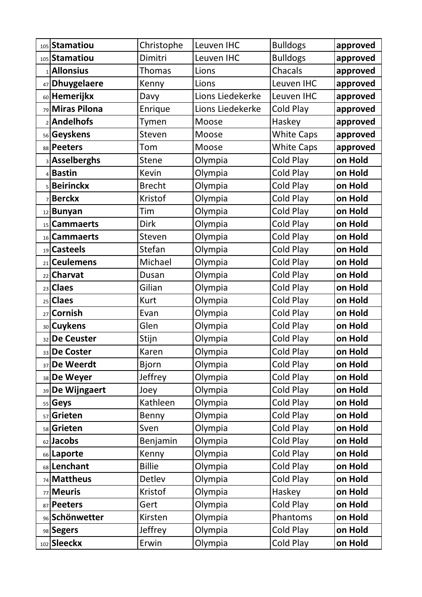|    | 105 Stamatiou         | Christophe    | Leuven IHC       | <b>Bulldogs</b>   | approved |
|----|-----------------------|---------------|------------------|-------------------|----------|
|    | 105 Stamatiou         | Dimitri       | Leuven IHC       | <b>Bulldogs</b>   | approved |
|    | 1 <b>Allonsius</b>    | Thomas        | Lions            | Chacals           | approved |
|    | 47 Dhuygelaere        | Kenny         | Lions            | Leuven IHC        | approved |
|    | 60 Hemerijkx          | Davy          | Lions Liedekerke | Leuven IHC        | approved |
|    | 79 Miras Pilona       | Enrique       | Lions Liedekerke | Cold Play         | approved |
|    | 2 <b>Andelhofs</b>    | Tymen         | Moose            | Haskey            | approved |
|    | 56 Geyskens           | Steven        | Moose            | <b>White Caps</b> | approved |
|    | 88 Peeters            | Tom           | Moose            | <b>White Caps</b> | approved |
|    | <b>3</b> Asselberghs  | Stene         | Olympia          | Cold Play         | on Hold  |
|    | 4Bastin               | Kevin         | Olympia          | Cold Play         | on Hold  |
|    | 5 Beirinckx           | <b>Brecht</b> | Olympia          | Cold Play         | on Hold  |
|    | 7Berckx               | Kristof       | Olympia          | Cold Play         | on Hold  |
|    | 12 Bunyan             | Tim           | Olympia          | Cold Play         | on Hold  |
|    | 15 Cammaerts          | <b>Dirk</b>   | Olympia          | Cold Play         | on Hold  |
|    | 16 Cammaerts          | Steven        | Olympia          | Cold Play         | on Hold  |
|    | 19 Casteels           | Stefan        | Olympia          | Cold Play         | on Hold  |
|    | 21 Ceulemens          | Michael       | Olympia          | Cold Play         | on Hold  |
|    | 22 Charvat            | Dusan         | Olympia          | Cold Play         | on Hold  |
|    | 23 Claes              | Gilian        | Olympia          | Cold Play         | on Hold  |
|    | $25$ Claes            | <b>Kurt</b>   | Olympia          | Cold Play         | on Hold  |
|    | 27 Cornish            | Evan          | Olympia          | Cold Play         | on Hold  |
|    | 30 Cuykens            | Glen          | Olympia          | Cold Play         | on Hold  |
|    | 32 De Ceuster         | Stijn         | Olympia          | <b>Cold Play</b>  | on Hold  |
|    | 33 De Coster          | Karen         | Olympia          | <b>Cold Play</b>  | on Hold  |
| 37 | <b>De Weerdt</b>      | <b>Bjorn</b>  | Olympia          | Cold Play         | on Hold  |
|    | 38 De Weyer           | Jeffrey       | Olympia          | Cold Play         | on Hold  |
|    | 39 De Wijngaert       | Joey          | Olympia          | Cold Play         | on Hold  |
|    | 55 Geys               | Kathleen      | Olympia          | Cold Play         | on Hold  |
|    | <sub>57</sub> Grieten | Benny         | Olympia          | Cold Play         | on Hold  |
|    | 58 Grieten            | Sven          | Olympia          | Cold Play         | on Hold  |
|    | 62 Jacobs             | Benjamin      | Olympia          | Cold Play         | on Hold  |
|    | 66 Laporte            | Kenny         | Olympia          | Cold Play         | on Hold  |
|    | 68 Lenchant           | <b>Billie</b> | Olympia          | Cold Play         | on Hold  |
|    | 74 Mattheus           | Detlev        | Olympia          | Cold Play         | on Hold  |
|    | 77 Meuris             | Kristof       | Olympia          | Haskey            | on Hold  |
|    | 87 Peeters            | Gert          | Olympia          | Cold Play         | on Hold  |
|    | 96 Schönwetter        | Kirsten       | Olympia          | Phantoms          | on Hold  |
|    | 98 Segers             | Jeffrey       | Olympia          | Cold Play         | on Hold  |
|    | 102 Sleeckx           | Erwin         | Olympia          | Cold Play         | on Hold  |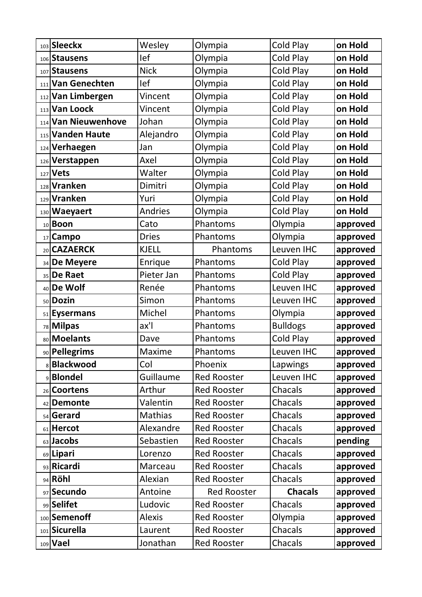|    | 103 Sleeckx         | Wesley           | Olympia            | Cold Play        | on Hold  |
|----|---------------------|------------------|--------------------|------------------|----------|
|    | 106 Stausens        | lef              | Olympia            | Cold Play        | on Hold  |
|    | 107 Stausens        | <b>Nick</b>      | Olympia            | Cold Play        | on Hold  |
|    | 111 Van Genechten   | lef              | Olympia            | Cold Play        | on Hold  |
|    | 112 Van Limbergen   | Vincent          | Olympia            | Cold Play        | on Hold  |
|    | 113 Van Loock       | Vincent          | Olympia            | Cold Play        | on Hold  |
|    | 114 Van Nieuwenhove | Johan            | Olympia            | Cold Play        | on Hold  |
|    | 115 Vanden Haute    | Alejandro        | Olympia            | Cold Play        | on Hold  |
|    | 124 Verhaegen       | Jan              | Olympia            | Cold Play        | on Hold  |
|    | 126 Verstappen      | Axel             | Olympia            | Cold Play        | on Hold  |
|    | 127 Vets            | Walter           | Olympia            | Cold Play        | on Hold  |
|    | 128 Vranken         | Dimitri          | Olympia            | Cold Play        | on Hold  |
|    | 129 Vranken         | Yuri             | Olympia            | Cold Play        | on Hold  |
|    | 130 Waeyaert        | <b>Andries</b>   | Olympia            | Cold Play        | on Hold  |
|    | 10 <b>Boon</b>      | Cato             | Phantoms           | Olympia          | approved |
|    | 17 Campo            | <b>Dries</b>     | Phantoms           | Olympia          | approved |
|    | 20 CAZAERCK         | <b>KJELL</b>     | Phantoms           | Leuven IHC       | approved |
|    | 34 De Meyere        | Enrique          | Phantoms           | <b>Cold Play</b> | approved |
|    | 35 De Raet          | Pieter Jan       | Phantoms           | Cold Play        | approved |
|    | 40 De Wolf          | Renée            | Phantoms           | Leuven IHC       | approved |
|    | 50 Dozin            | Simon            | Phantoms           | Leuven IHC       | approved |
|    | 51 Eysermans        | Michel           | Phantoms           | Olympia          | approved |
|    | 78 Milpas           | ax'l             | Phantoms           | <b>Bulldogs</b>  | approved |
|    | 80 Moelants         | Dave             | Phantoms           | <b>Cold Play</b> | approved |
|    | 90 Pellegrims       | Maxime           | Phantoms           | Leuven IHC       | approved |
|    | <b>Blackwood</b>    | Col              | Phoenix            | Lapwings         | approved |
|    | <b>Blondel</b>      | <b>Guillaume</b> | <b>Red Rooster</b> | Leuven IHC       | approved |
|    | 26 Coortens         | Arthur           | <b>Red Rooster</b> | Chacals          | approved |
| 42 | <b>Demonte</b>      | Valentin         | <b>Red Rooster</b> | Chacals          | approved |
|    | 54 Gerard           | Mathias          | <b>Red Rooster</b> | Chacals          | approved |
|    | 61 Hercot           | Alexandre        | <b>Red Rooster</b> | Chacals          | approved |
|    | 63 Jacobs           | Sebastien        | <b>Red Rooster</b> | Chacals          | pending  |
|    | 69 Lipari           | Lorenzo          | <b>Red Rooster</b> | Chacals          | approved |
|    | 93 Ricardi          | Marceau          | <b>Red Rooster</b> | Chacals          | approved |
|    | 94 Röhl             | Alexian          | <b>Red Rooster</b> | Chacals          | approved |
|    | 97 Secundo          | Antoine          | <b>Red Rooster</b> | <b>Chacals</b>   | approved |
|    | 99 Selifet          | Ludovic          | <b>Red Rooster</b> | Chacals          | approved |
|    | 100 Semenoff        | <b>Alexis</b>    | <b>Red Rooster</b> | Olympia          | approved |
|    | 101 Sicurella       | Laurent          | <b>Red Rooster</b> | Chacals          | approved |
|    | 109 Vael            | Jonathan         | <b>Red Rooster</b> | Chacals          | approved |